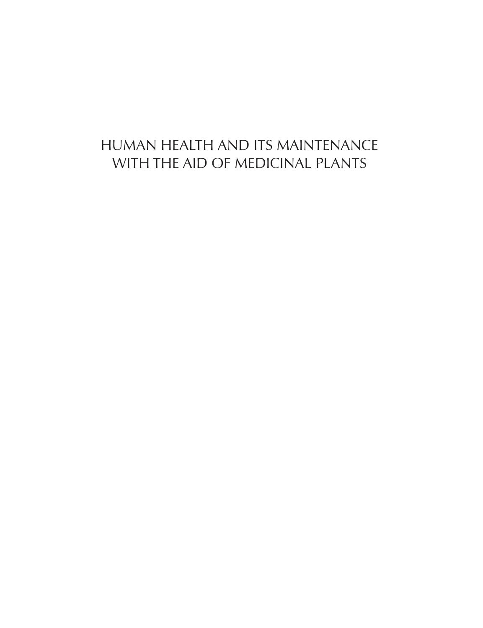# HUMAN HEALTH AND ITS MAINTENANCE WITH THE AID OF MEDICINAL PLANTS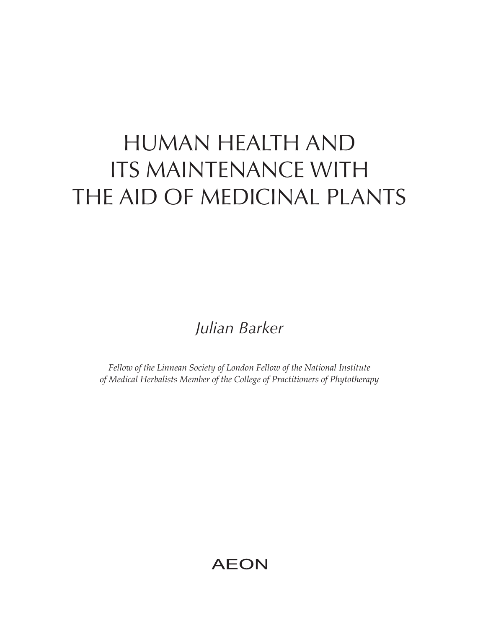# HUMAN HEALTH AND ITS MAINTENANCE WITH THE AID OF MEDICINAL PLANTS

*Julian Barker*

*Fellow of the Linnean Society of London Fellow of the National Institute of Medical Herbalists Member of the College of Practitioners of Phytotherapy*

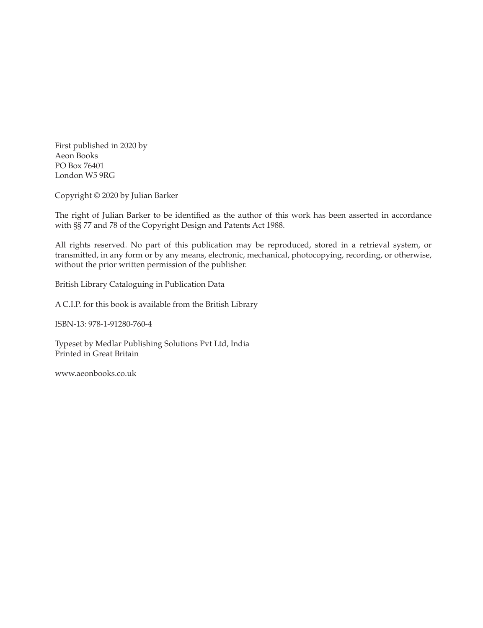First published in 2020 by Aeon Books PO Box 76401 London W5 9RG

Copyright © 2020 by Julian Barker

The right of Julian Barker to be identified as the author of this work has been asserted in accordance with §§ 77 and 78 of the Copyright Design and Patents Act 1988.

All rights reserved. No part of this publication may be reproduced, stored in a retrieval system, or transmitted, in any form or by any means, electronic, mechanical, photocopying, recording, or otherwise, without the prior written permission of the publisher.

British Library Cataloguing in Publication Data

A C.I.P. for this book is available from the British Library

ISBN-13: 978-1-91280-760-4

Typeset by Medlar Publishing Solutions Pvt Ltd, India Printed in Great Britain

www.aeonbooks.co.uk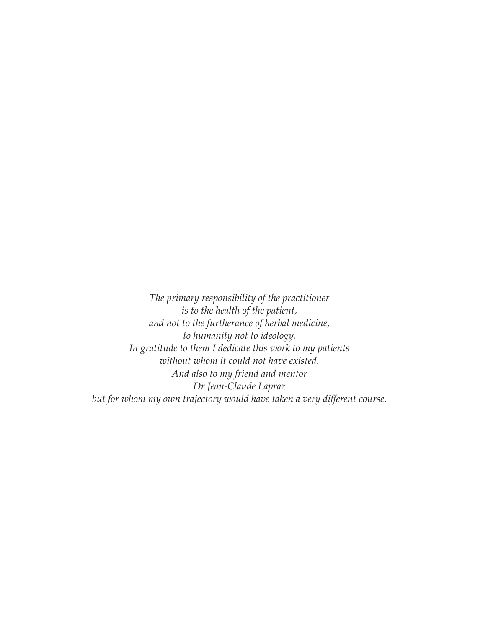*The primary responsibility of the practitioner is to the health of the patient, and not to the furtherance of herbal medicine, to humanity not to ideology. In gratitude to them I dedicate this work to my patients without whom it could not have existed. And also to my friend and mentor Dr Jean-Claude Lapraz but for whom my own trajectory would have taken a very different course.*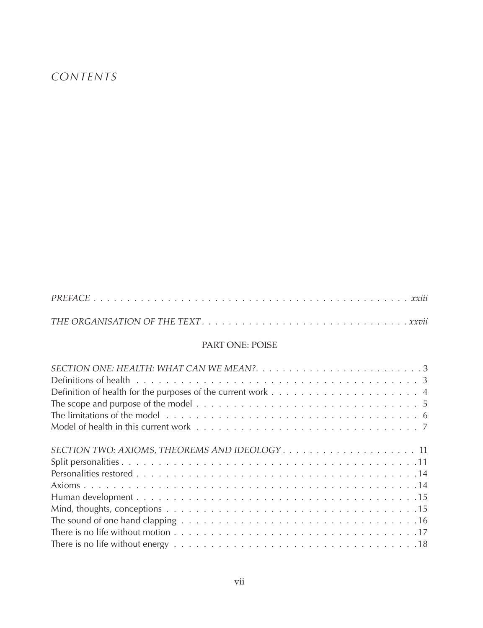# *CONTENTS*

|  |  | . |
|--|--|---|
|  |  |   |

#### PART ONE: POISE

| The scope and purpose of the model $\dots \dots \dots \dots \dots \dots \dots \dots \dots \dots \dots \dots \dots \dots \dots$ |
|--------------------------------------------------------------------------------------------------------------------------------|
|                                                                                                                                |
|                                                                                                                                |
| SECTION TWO: AXIOMS, THEOREMS AND IDEOLOGY 11                                                                                  |
|                                                                                                                                |
|                                                                                                                                |
|                                                                                                                                |
|                                                                                                                                |
|                                                                                                                                |
|                                                                                                                                |
|                                                                                                                                |
|                                                                                                                                |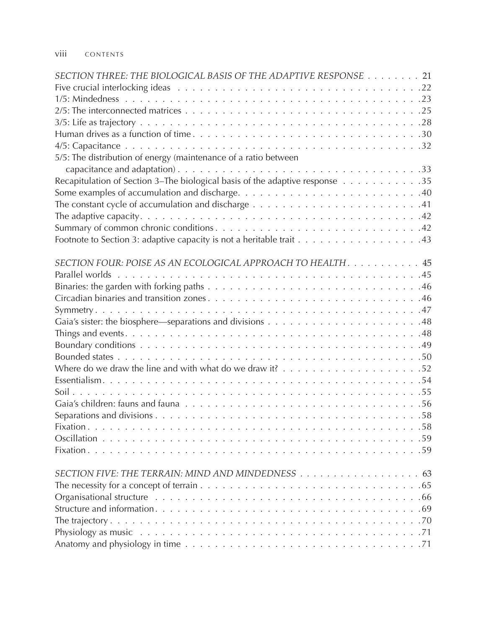#### viii CONTENTS

| SECTION THREE: THE BIOLOGICAL BASIS OF THE ADAPTIVE RESPONSE 21                                                                     |
|-------------------------------------------------------------------------------------------------------------------------------------|
|                                                                                                                                     |
|                                                                                                                                     |
|                                                                                                                                     |
|                                                                                                                                     |
|                                                                                                                                     |
|                                                                                                                                     |
| 5/5: The distribution of energy (maintenance of a ratio between                                                                     |
|                                                                                                                                     |
| Recapitulation of Section 3-The biological basis of the adaptive response 35                                                        |
|                                                                                                                                     |
| The constant cycle of accumulation and discharge $\ldots \ldots \ldots \ldots \ldots \ldots \ldots \ldots \ldots 41$                |
|                                                                                                                                     |
|                                                                                                                                     |
|                                                                                                                                     |
|                                                                                                                                     |
| SECTION FOUR: POISE AS AN ECOLOGICAL APPROACH TO HEALTH. 45                                                                         |
|                                                                                                                                     |
|                                                                                                                                     |
|                                                                                                                                     |
|                                                                                                                                     |
|                                                                                                                                     |
|                                                                                                                                     |
|                                                                                                                                     |
|                                                                                                                                     |
|                                                                                                                                     |
|                                                                                                                                     |
|                                                                                                                                     |
|                                                                                                                                     |
|                                                                                                                                     |
|                                                                                                                                     |
|                                                                                                                                     |
|                                                                                                                                     |
|                                                                                                                                     |
| The necessity for a concept of terrain $\ldots \ldots \ldots \ldots \ldots \ldots \ldots \ldots \ldots \ldots \ldots \ldots \ldots$ |
|                                                                                                                                     |
|                                                                                                                                     |
|                                                                                                                                     |
|                                                                                                                                     |
|                                                                                                                                     |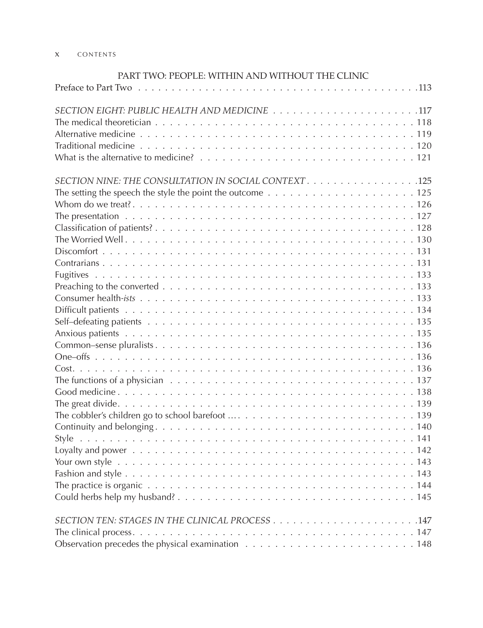#### x CONTENTS

| PART TWO: PEOPLE: WITHIN AND WITHOUT THE CLINIC                                                                                |
|--------------------------------------------------------------------------------------------------------------------------------|
|                                                                                                                                |
|                                                                                                                                |
|                                                                                                                                |
|                                                                                                                                |
|                                                                                                                                |
|                                                                                                                                |
| SECTION NINE: THE CONSULTATION IN SOCIAL CONTEXT. 125                                                                          |
| The setting the speech the style the point the outcome $\dots \dots \dots \dots \dots \dots \dots \dots \dots \dots \dots 125$ |
|                                                                                                                                |
|                                                                                                                                |
|                                                                                                                                |
|                                                                                                                                |
|                                                                                                                                |
|                                                                                                                                |
|                                                                                                                                |
|                                                                                                                                |
|                                                                                                                                |
|                                                                                                                                |
|                                                                                                                                |
|                                                                                                                                |
|                                                                                                                                |
|                                                                                                                                |
|                                                                                                                                |
| The functions of a physician $\ldots \ldots \ldots \ldots \ldots \ldots \ldots \ldots \ldots \ldots \ldots \ldots \ldots 137$  |
|                                                                                                                                |
|                                                                                                                                |
|                                                                                                                                |
|                                                                                                                                |
|                                                                                                                                |
|                                                                                                                                |
|                                                                                                                                |
|                                                                                                                                |
|                                                                                                                                |
|                                                                                                                                |
|                                                                                                                                |
|                                                                                                                                |
|                                                                                                                                |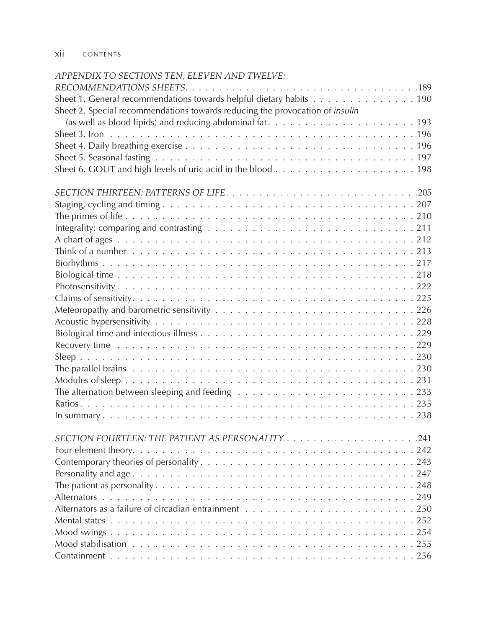xii CONTENTS

## *APPENDIX TO SECTIONS TEN, ELEVEN AND TWELVE:*

| Sheet 1. General recommendations towards helpful dietary habits 190                                                       |
|---------------------------------------------------------------------------------------------------------------------------|
| Sheet 2. Special recommendations towards reducing the provocation of <i>insulin</i>                                       |
|                                                                                                                           |
|                                                                                                                           |
|                                                                                                                           |
|                                                                                                                           |
|                                                                                                                           |
|                                                                                                                           |
|                                                                                                                           |
|                                                                                                                           |
| Integrality: comparing and contrasting $\ldots \ldots \ldots \ldots \ldots \ldots \ldots \ldots \ldots \ldots \ldots 211$ |
|                                                                                                                           |
|                                                                                                                           |
|                                                                                                                           |
|                                                                                                                           |
|                                                                                                                           |
|                                                                                                                           |
|                                                                                                                           |
|                                                                                                                           |
|                                                                                                                           |
|                                                                                                                           |
|                                                                                                                           |
|                                                                                                                           |
|                                                                                                                           |
| The alternation between sleeping and feeding $\ldots \ldots \ldots \ldots \ldots \ldots \ldots \ldots \ldots 233$         |
|                                                                                                                           |
|                                                                                                                           |
|                                                                                                                           |
|                                                                                                                           |
|                                                                                                                           |
|                                                                                                                           |
|                                                                                                                           |
|                                                                                                                           |
|                                                                                                                           |
|                                                                                                                           |
|                                                                                                                           |
|                                                                                                                           |
|                                                                                                                           |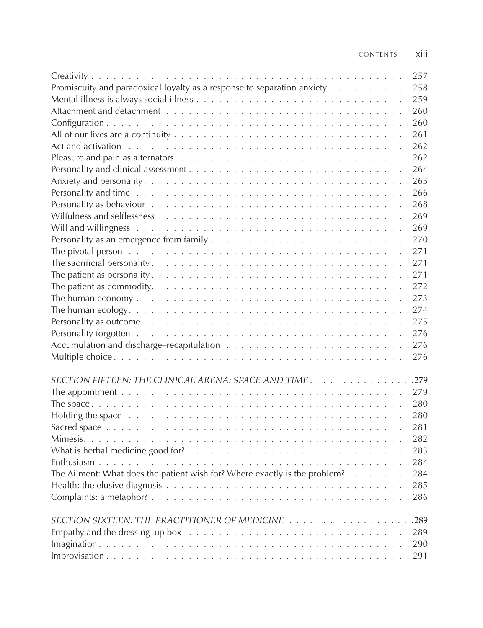| Promiscuity and paradoxical loyalty as a response to separation anxiety 258                                                                                                                                                    |
|--------------------------------------------------------------------------------------------------------------------------------------------------------------------------------------------------------------------------------|
|                                                                                                                                                                                                                                |
|                                                                                                                                                                                                                                |
|                                                                                                                                                                                                                                |
|                                                                                                                                                                                                                                |
|                                                                                                                                                                                                                                |
|                                                                                                                                                                                                                                |
|                                                                                                                                                                                                                                |
|                                                                                                                                                                                                                                |
|                                                                                                                                                                                                                                |
|                                                                                                                                                                                                                                |
|                                                                                                                                                                                                                                |
|                                                                                                                                                                                                                                |
|                                                                                                                                                                                                                                |
|                                                                                                                                                                                                                                |
|                                                                                                                                                                                                                                |
|                                                                                                                                                                                                                                |
|                                                                                                                                                                                                                                |
|                                                                                                                                                                                                                                |
|                                                                                                                                                                                                                                |
|                                                                                                                                                                                                                                |
|                                                                                                                                                                                                                                |
|                                                                                                                                                                                                                                |
|                                                                                                                                                                                                                                |
|                                                                                                                                                                                                                                |
| SECTION FIFTEEN: THE CLINICAL ARENA: SPACE AND TIME. 279                                                                                                                                                                       |
|                                                                                                                                                                                                                                |
|                                                                                                                                                                                                                                |
| Holding the space enterpreteration of the space of the space of the space of the space of the space of the space of the space of the space of the space of the space of the space of the space of the space of the space of th |
|                                                                                                                                                                                                                                |
|                                                                                                                                                                                                                                |
|                                                                                                                                                                                                                                |
|                                                                                                                                                                                                                                |
| The Ailment: What does the patient wish for? Where exactly is the problem? 284                                                                                                                                                 |
|                                                                                                                                                                                                                                |
|                                                                                                                                                                                                                                |
|                                                                                                                                                                                                                                |
| SECTION SIXTEEN: THE PRACTITIONER OF MEDICINE 289                                                                                                                                                                              |
| Empathy and the dressing-up box $\ldots \ldots \ldots \ldots \ldots \ldots \ldots \ldots \ldots \ldots \ldots 289$                                                                                                             |
|                                                                                                                                                                                                                                |
|                                                                                                                                                                                                                                |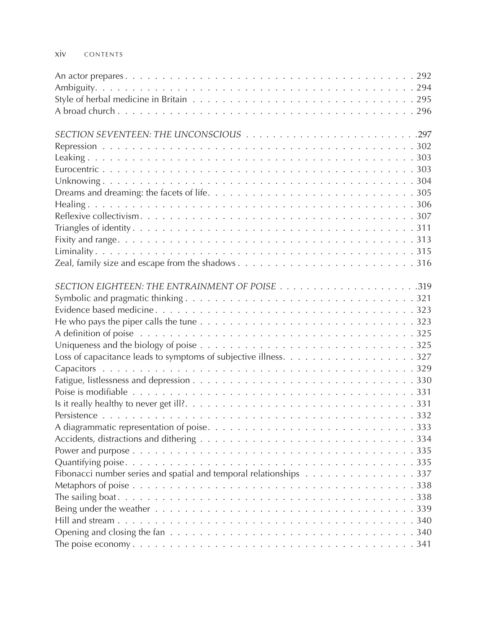#### xiv CONTENTS

| He who pays the piper calls the tune $\ldots \ldots \ldots \ldots \ldots \ldots \ldots \ldots \ldots \ldots \ldots 323$      |
|------------------------------------------------------------------------------------------------------------------------------|
|                                                                                                                              |
|                                                                                                                              |
|                                                                                                                              |
|                                                                                                                              |
|                                                                                                                              |
|                                                                                                                              |
|                                                                                                                              |
|                                                                                                                              |
|                                                                                                                              |
|                                                                                                                              |
|                                                                                                                              |
|                                                                                                                              |
| Fibonacci number series and spatial and temporal relationships $\dots \dots \dots \dots \dots \dots$ 337                     |
|                                                                                                                              |
|                                                                                                                              |
|                                                                                                                              |
|                                                                                                                              |
| Opening and closing the fan $\ldots \ldots \ldots \ldots \ldots \ldots \ldots \ldots \ldots \ldots \ldots \ldots \ldots 340$ |
|                                                                                                                              |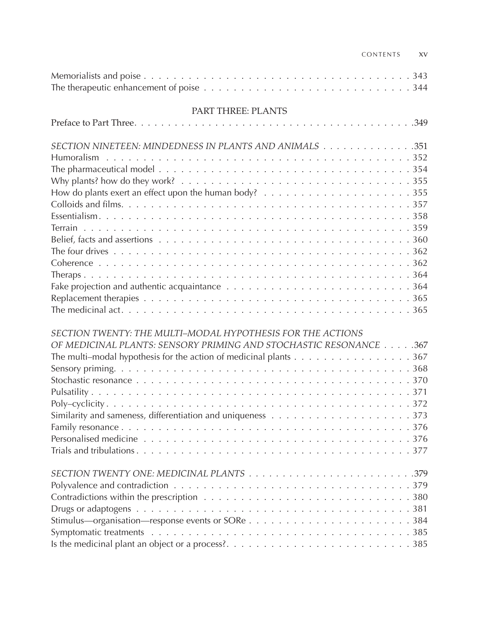| CONTENTS | XV |
|----------|----|
|          |    |

| The therapeutic enhancement of poise $\ldots \ldots \ldots \ldots \ldots \ldots \ldots \ldots \ldots \ldots \ldots 344$                                                                              |  |  |  |  |
|------------------------------------------------------------------------------------------------------------------------------------------------------------------------------------------------------|--|--|--|--|
| PART THREE: PLANTS                                                                                                                                                                                   |  |  |  |  |
|                                                                                                                                                                                                      |  |  |  |  |
| SECTION NINETEEN: MINDEDNESS IN PLANTS AND ANIMALS 351                                                                                                                                               |  |  |  |  |
| <b>Humoralism</b>                                                                                                                                                                                    |  |  |  |  |
|                                                                                                                                                                                                      |  |  |  |  |
|                                                                                                                                                                                                      |  |  |  |  |
|                                                                                                                                                                                                      |  |  |  |  |
|                                                                                                                                                                                                      |  |  |  |  |
|                                                                                                                                                                                                      |  |  |  |  |
|                                                                                                                                                                                                      |  |  |  |  |
|                                                                                                                                                                                                      |  |  |  |  |
|                                                                                                                                                                                                      |  |  |  |  |
|                                                                                                                                                                                                      |  |  |  |  |
|                                                                                                                                                                                                      |  |  |  |  |
|                                                                                                                                                                                                      |  |  |  |  |
|                                                                                                                                                                                                      |  |  |  |  |
|                                                                                                                                                                                                      |  |  |  |  |
| SECTION TWENTY: THE MULTI-MODAL HYPOTHESIS FOR THE ACTIONS<br>OF MEDICINAL PLANTS: SENSORY PRIMING AND STOCHASTIC RESONANCE 367<br>The multi-modal hypothesis for the action of medicinal plants 367 |  |  |  |  |
|                                                                                                                                                                                                      |  |  |  |  |
|                                                                                                                                                                                                      |  |  |  |  |
|                                                                                                                                                                                                      |  |  |  |  |
|                                                                                                                                                                                                      |  |  |  |  |
|                                                                                                                                                                                                      |  |  |  |  |
|                                                                                                                                                                                                      |  |  |  |  |
|                                                                                                                                                                                                      |  |  |  |  |
|                                                                                                                                                                                                      |  |  |  |  |
|                                                                                                                                                                                                      |  |  |  |  |
|                                                                                                                                                                                                      |  |  |  |  |
|                                                                                                                                                                                                      |  |  |  |  |
|                                                                                                                                                                                                      |  |  |  |  |
|                                                                                                                                                                                                      |  |  |  |  |
|                                                                                                                                                                                                      |  |  |  |  |
|                                                                                                                                                                                                      |  |  |  |  |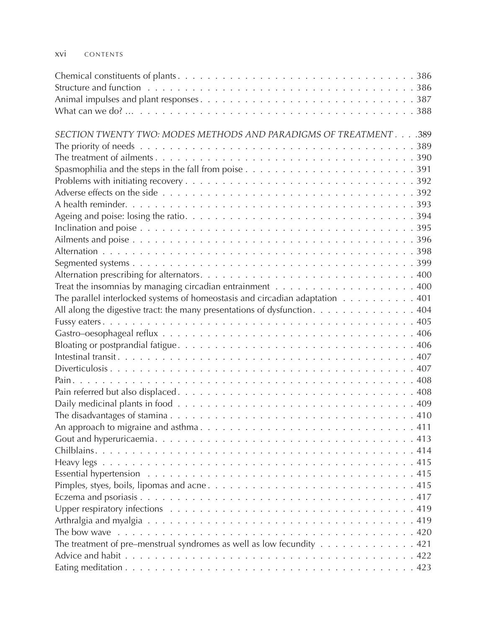#### xvi CONTENTS

| SECTION TWENTY TWO: MODES METHODS AND PARADIGMS OF TREATMENT 389                                                       |
|------------------------------------------------------------------------------------------------------------------------|
|                                                                                                                        |
|                                                                                                                        |
| Spasmophilia and the steps in the fall from poise $\ldots \ldots \ldots \ldots \ldots \ldots \ldots \ldots \ldots 391$ |
|                                                                                                                        |
|                                                                                                                        |
|                                                                                                                        |
|                                                                                                                        |
|                                                                                                                        |
|                                                                                                                        |
|                                                                                                                        |
|                                                                                                                        |
|                                                                                                                        |
| Treat the insomnias by managing circadian entrainment $\ldots \ldots \ldots \ldots \ldots \ldots \ldots \ldots 400$    |
| The parallel interlocked systems of homeostasis and circadian adaptation 401                                           |
| All along the digestive tract: the many presentations of dysfunction. 404                                              |
|                                                                                                                        |
|                                                                                                                        |
|                                                                                                                        |
|                                                                                                                        |
|                                                                                                                        |
|                                                                                                                        |
|                                                                                                                        |
|                                                                                                                        |
|                                                                                                                        |
|                                                                                                                        |
|                                                                                                                        |
|                                                                                                                        |
|                                                                                                                        |
|                                                                                                                        |
|                                                                                                                        |
|                                                                                                                        |
|                                                                                                                        |
|                                                                                                                        |
|                                                                                                                        |
| The treatment of pre-menstrual syndromes as well as low fecundity $\dots \dots \dots \dots \dots$                      |
|                                                                                                                        |
|                                                                                                                        |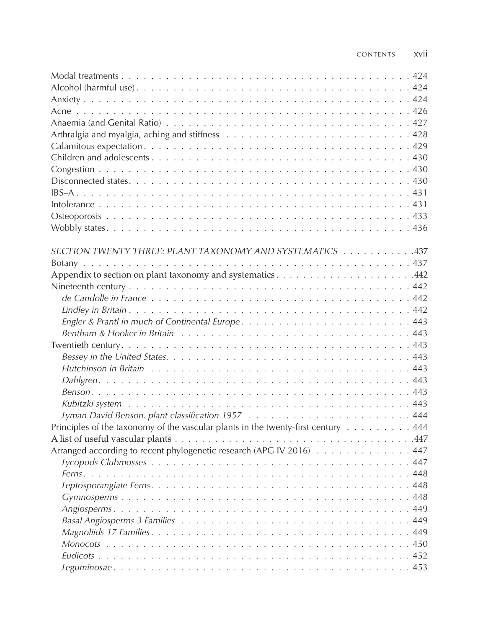| SECTION TWENTY THREE: PLANT TAXONOMY AND SYSTEMATICS 437                          |  |
|-----------------------------------------------------------------------------------|--|
|                                                                                   |  |
|                                                                                   |  |
|                                                                                   |  |
|                                                                                   |  |
|                                                                                   |  |
|                                                                                   |  |
|                                                                                   |  |
|                                                                                   |  |
|                                                                                   |  |
|                                                                                   |  |
|                                                                                   |  |
|                                                                                   |  |
|                                                                                   |  |
|                                                                                   |  |
| Principles of the taxonomy of the vascular plants in the twenty-first century 444 |  |
|                                                                                   |  |
| Arranged according to recent phylogenetic research (APG IV 2016) 447              |  |
|                                                                                   |  |
|                                                                                   |  |
|                                                                                   |  |
|                                                                                   |  |
|                                                                                   |  |
|                                                                                   |  |
|                                                                                   |  |
|                                                                                   |  |
|                                                                                   |  |
|                                                                                   |  |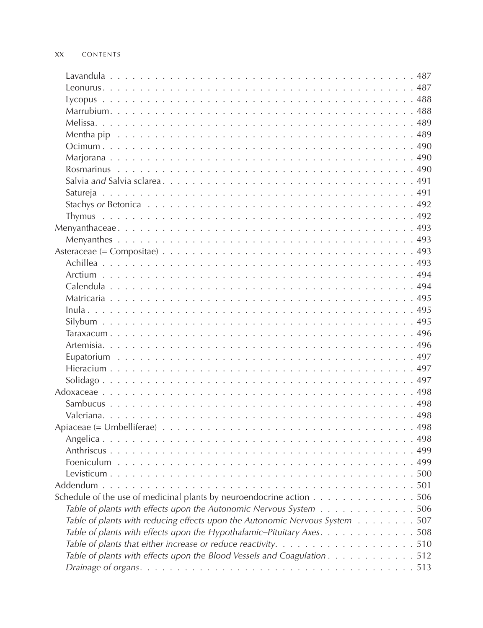| Schedule of the use of medicinal plants by neuroendocrine action $\dots \dots \dots \dots \dots \dots$            |  |
|-------------------------------------------------------------------------------------------------------------------|--|
| Table of plants with effects upon the Autonomic Nervous System 506                                                |  |
| Table of plants with reducing effects upon the Autonomic Nervous System 507                                       |  |
| Table of plants with effects upon the Hypothalamic-Pituitary Axes. 508                                            |  |
| Table of plants that either increase or reduce reactivity. $\ldots \ldots \ldots \ldots \ldots \ldots \ldots 510$ |  |
| Table of plants with effects upon the Blood Vessels and Coagulation 512                                           |  |
|                                                                                                                   |  |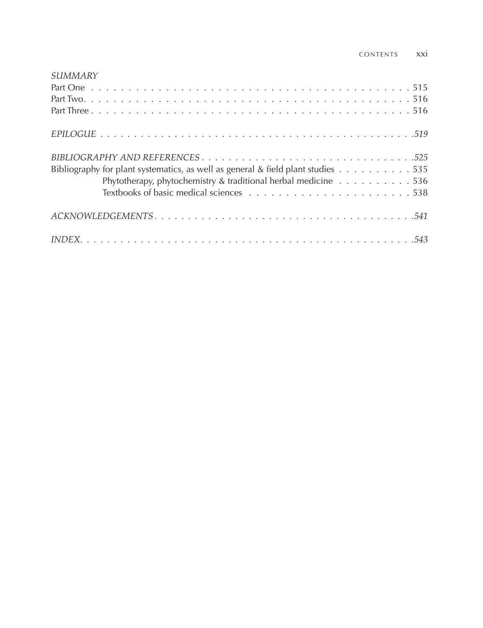| SUMMARY                                                                          |
|----------------------------------------------------------------------------------|
|                                                                                  |
|                                                                                  |
|                                                                                  |
|                                                                                  |
|                                                                                  |
| Bibliography for plant systematics, as well as general & field plant studies 535 |
| Phytotherapy, phytochemistry & traditional herbal medicine 536                   |
|                                                                                  |
|                                                                                  |
|                                                                                  |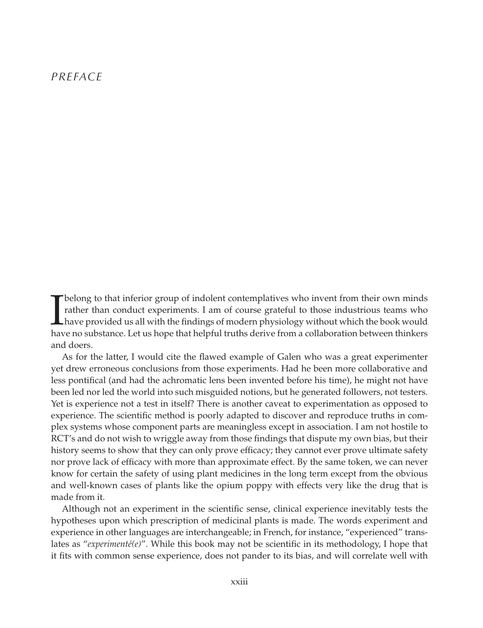#### *PREFACE*

The approximation of indolent contemplatives who invent from their own minds<br>trather than conduct experiments. I am of course grateful to those industrious teams who<br>have provided us all with the findings of modern physiol rather than conduct experiments. I am of course grateful to those industrious teams who have provided us all with the findings of modern physiology without which the book would have no substance. Let us hope that helpful truths derive from a collaboration between thinkers and doers.

As for the latter, I would cite the flawed example of Galen who was a great experimenter yet drew erroneous conclusions from those experiments. Had he been more collaborative and less pontifical (and had the achromatic lens been invented before his time), he might not have been led nor led the world into such misguided notions, but he generated followers, not testers. Yet is experience not a test in itself? There is another caveat to experimentation as opposed to experience. The scientific method is poorly adapted to discover and reproduce truths in complex systems whose component parts are meaningless except in association. I am not hostile to RCT's and do not wish to wriggle away from those findings that dispute my own bias, but their history seems to show that they can only prove efficacy; they cannot ever prove ultimate safety nor prove lack of efficacy with more than approximate effect. By the same token, we can never know for certain the safety of using plant medicines in the long term except from the obvious and well-known cases of plants like the opium poppy with effects very like the drug that is made from it.

Although not an experiment in the scientific sense, clinical experience inevitably tests the hypotheses upon which prescription of medicinal plants is made. The words experiment and experience in other languages are interchangeable; in French, for instance, "experienced" translates as "*experimenté(e)*". While this book may not be scientific in its methodology, I hope that it fits with common sense experience, does not pander to its bias, and will correlate well with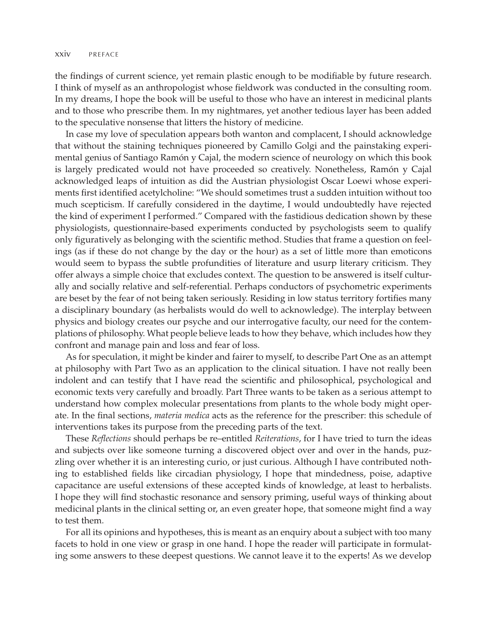the findings of current science, yet remain plastic enough to be modifiable by future research. I think of myself as an anthropologist whose fieldwork was conducted in the consulting room. In my dreams, I hope the book will be useful to those who have an interest in medicinal plants and to those who prescribe them. In my nightmares, yet another tedious layer has been added to the speculative nonsense that litters the history of medicine.

In case my love of speculation appears both wanton and complacent, I should acknowledge that without the staining techniques pioneered by Camillo Golgi and the painstaking experimental genius of Santiago Ramón y Cajal, the modern science of neurology on which this book is largely predicated would not have proceeded so creatively. Nonetheless, Ramón y Cajal acknowledged leaps of intuition as did the Austrian physiologist Oscar Loewi whose experiments first identified acetylcholine: "We should sometimes trust a sudden intuition without too much scepticism. If carefully considered in the daytime, I would undoubtedly have rejected the kind of experiment I performed." Compared with the fastidious dedication shown by these physiologists, questionnaire-based experiments conducted by psychologists seem to qualify only figuratively as belonging with the scientific method. Studies that frame a question on feelings (as if these do not change by the day or the hour) as a set of little more than emoticons would seem to bypass the subtle profundities of literature and usurp literary criticism. They offer always a simple choice that excludes context. The question to be answered is itself culturally and socially relative and self-referential. Perhaps conductors of psychometric experiments are beset by the fear of not being taken seriously. Residing in low status territory fortifies many a disciplinary boundary (as herbalists would do well to acknowledge). The interplay between physics and biology creates our psyche and our interrogative faculty, our need for the contemplations of philosophy. What people believe leads to how they behave, which includes how they confront and manage pain and loss and fear of loss.

As for speculation, it might be kinder and fairer to myself, to describe Part One as an attempt at philosophy with Part Two as an application to the clinical situation. I have not really been indolent and can testify that I have read the scientific and philosophical, psychological and economic texts very carefully and broadly. Part Three wants to be taken as a serious attempt to understand how complex molecular presentations from plants to the whole body might operate. In the final sections, *materia medica* acts as the reference for the prescriber: this schedule of interventions takes its purpose from the preceding parts of the text.

These *Reflections* should perhaps be re-entitled *Reiterations*, for I have tried to turn the ideas and subjects over like someone turning a discovered object over and over in the hands, puzzling over whether it is an interesting curio, or just curious. Although I have contributed nothing to established fields like circadian physiology, I hope that mindedness, poise, adaptive capacitance are useful extensions of these accepted kinds of knowledge, at least to herbalists. I hope they will find stochastic resonance and sensory priming, useful ways of thinking about medicinal plants in the clinical setting or, an even greater hope, that someone might find a way to test them.

For all its opinions and hypotheses, this is meant as an enquiry about a subject with too many facets to hold in one view or grasp in one hand. I hope the reader will participate in formulating some answers to these deepest questions. We cannot leave it to the experts! As we develop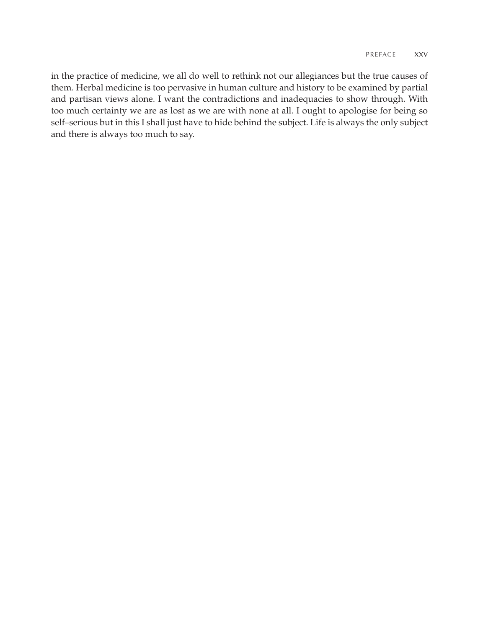in the practice of medicine, we all do well to rethink not our allegiances but the true causes of them. Herbal medicine is too pervasive in human culture and history to be examined by partial and partisan views alone. I want the contradictions and inadequacies to show through. With too much certainty we are as lost as we are with none at all. I ought to apologise for being so self–serious but in this I shall just have to hide behind the subject. Life is always the only subject and there is always too much to say.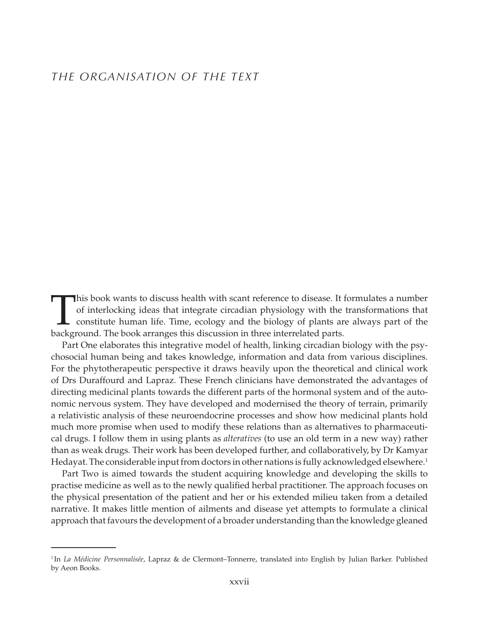## *THE ORGANISATION OF THE TEXT*

This book wants to discuss health with scant reference to disease. It formulates a number<br>of interlocking ideas that integrate circadian physiology with the transformations that<br>constitute human life. Time, ecology and the of interlocking ideas that integrate circadian physiology with the transformations that constitute human life. Time, ecology and the biology of plants are always part of the background. The book arranges this discussion in three interrelated parts.

Part One elaborates this integrative model of health, linking circadian biology with the psychosocial human being and takes knowledge, information and data from various disciplines. For the phytotherapeutic perspective it draws heavily upon the theoretical and clinical work of Drs Duraffourd and Lapraz. These French clinicians have demonstrated the advantages of directing medicinal plants towards the different parts of the hormonal system and of the autonomic nervous system. They have developed and modernised the theory of terrain, primarily a relativistic analysis of these neuroendocrine processes and show how medicinal plants hold much more promise when used to modify these relations than as alternatives to pharmaceutical drugs. I follow them in using plants as *alteratives* (to use an old term in a new way) rather than as weak drugs. Their work has been developed further, and collaboratively, by Dr Kamyar Hedayat. The considerable input from doctors in other nations is fully acknowledged elsewhere.<sup>1</sup>

Part Two is aimed towards the student acquiring knowledge and developing the skills to practise medicine as well as to the newly qualified herbal practitioner. The approach focuses on the physical presentation of the patient and her or his extended milieu taken from a detailed narrative. It makes little mention of ailments and disease yet attempts to formulate a clinical approach that favours the development of a broader understanding than the knowledge gleaned

<sup>1</sup> In *La Médicine Personnalisée*, Lapraz & de Clermont–Tonnerre, translated into English by Julian Barker. Published by Aeon Books.